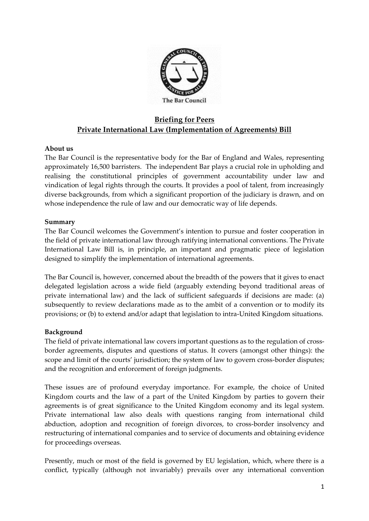

# **Briefing for Peers Private International Law (Implementation of Agreements) Bill**

# **About us**

The Bar Council is the representative body for the Bar of England and Wales, representing approximately 16,500 barristers. The independent Bar plays a crucial role in upholding and realising the constitutional principles of government accountability under law and vindication of legal rights through the courts. It provides a pool of talent, from increasingly diverse backgrounds, from which a significant proportion of the judiciary is drawn, and on whose independence the rule of law and our democratic way of life depends.

### **Summary**

The Bar Council welcomes the Government's intention to pursue and foster cooperation in the field of private international law through ratifying international conventions. The Private International Law Bill is, in principle, an important and pragmatic piece of legislation designed to simplify the implementation of international agreements.

The Bar Council is, however, concerned about the breadth of the powers that it gives to enact delegated legislation across a wide field (arguably extending beyond traditional areas of private international law) and the lack of sufficient safeguards if decisions are made: (a) subsequently to review declarations made as to the ambit of a convention or to modify its provisions; or (b) to extend and/or adapt that legislation to intra-United Kingdom situations.

# **Background**

The field of private international law covers important questions as to the regulation of crossborder agreements, disputes and questions of status. It covers (amongst other things): the scope and limit of the courts' jurisdiction; the system of law to govern cross-border disputes; and the recognition and enforcement of foreign judgments.

These issues are of profound everyday importance. For example, the choice of United Kingdom courts and the law of a part of the United Kingdom by parties to govern their agreements is of great significance to the United Kingdom economy and its legal system. Private international law also deals with questions ranging from international child abduction, adoption and recognition of foreign divorces, to cross-border insolvency and restructuring of international companies and to service of documents and obtaining evidence for proceedings overseas.

Presently, much or most of the field is governed by EU legislation, which, where there is a conflict, typically (although not invariably) prevails over any international convention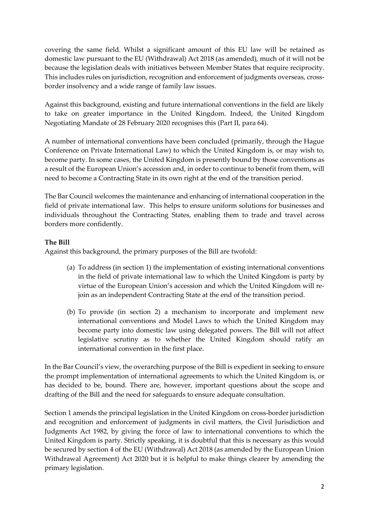covering the same field. Whilst a significant amount of this EU law will be retained as domestic law pursuant to the EU (Withdrawal) Act 2018 (as amended), much of it will not be because the legislation deals with initiatives between Member States that require reciprocity. This includes rules on jurisdiction, recognition and enforcement of judgments overseas, crossborder insolvency and a wide range of family law issues.

Against this background, existing and future international conventions in the field are likely to take on greater importance in the United Kingdom. Indeed, the United Kingdom Negotiating Mandate of 28 February 2020 recognises this (Part II, para 64).

A number of international conventions have been concluded (primarily, through the Hague Conference on Private International Law) to which the United Kingdom is, or may wish to, become party. In some cases, the United Kingdom is presently bound by those conventions as a result of the European Union's accession and, in order to continue to benefit from them, will need to become a Contracting State in its own right at the end of the transition period.

The Bar Council welcomes the maintenance and enhancing of international cooperation in the field of private international law. This helps to ensure uniform solutions for businesses and individuals throughout the Contracting States, enabling them to trade and travel across borders more confidently.

# **The Bill**

Against this background, the primary purposes of the Bill are twofold:

- (a) To address (in section 1) the implementation of existing international conventions in the field of private international law to which the United Kingdom is party by virtue of the European Union's accession and which the United Kingdom will rejoin as an independent Contracting State at the end of the transition period.
- (b) To provide (in section 2) a mechanism to incorporate and implement new international conventions and Model Laws to which the United Kingdom may become party into domestic law using delegated powers. The Bill will not affect legislative scrutiny as to whether the United Kingdom should ratify an international convention in the first place.

In the Bar Council's view, the overarching purpose of the Bill is expedient in seeking to ensure the prompt implementation of international agreements to which the United Kingdom is, or has decided to be, bound. There are, however, important questions about the scope and drafting of the Bill and the need for safeguards to ensure adequate consultation.

Section 1 amends the principal legislation in the United Kingdom on cross-border jurisdiction and recognition and enforcement of judgments in civil matters, the Civil Jurisdiction and Judgments Act 1982, by giving the force of law to international conventions to which the United Kingdom is party. Strictly speaking, it is doubtful that this is necessary as this would be secured by section 4 of the EU (Withdrawal) Act 2018 (as amended by the European Union Withdrawal Agreement) Act 2020 but it is helpful to make things clearer by amending the primary legislation.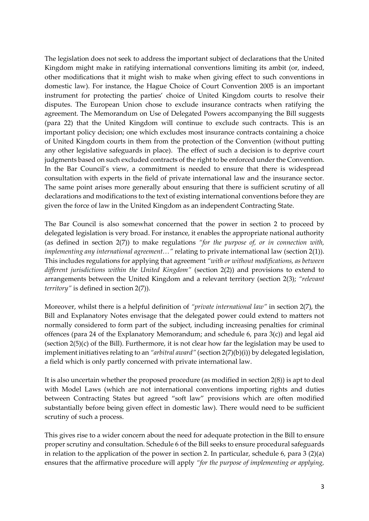The legislation does not seek to address the important subject of declarations that the United Kingdom might make in ratifying international conventions limiting its ambit (or, indeed, other modifications that it might wish to make when giving effect to such conventions in domestic law). For instance, the Hague Choice of Court Convention 2005 is an important instrument for protecting the parties' choice of United Kingdom courts to resolve their disputes. The European Union chose to exclude insurance contracts when ratifying the agreement. The Memorandum on Use of Delegated Powers accompanying the Bill suggests (para 22) that the United Kingdom will continue to exclude such contracts. This is an important policy decision; one which excludes most insurance contracts containing a choice of United Kingdom courts in them from the protection of the Convention (without putting any other legislative safeguards in place). The effect of such a decision is to deprive court judgments based on such excluded contracts of the right to be enforced under the Convention. In the Bar Council's view, a commitment is needed to ensure that there is widespread consultation with experts in the field of private international law and the insurance sector. The same point arises more generally about ensuring that there is sufficient scrutiny of all declarations and modifications to the text of existing international conventions before they are given the force of law in the United Kingdom as an independent Contracting State.

The Bar Council is also somewhat concerned that the power in section 2 to proceed by delegated legislation is very broad. For instance, it enables the appropriate national authority (as defined in section 2(7)) to make regulations *"for the purpose of, or in connection with, implementing any international agreement…"* relating to private international law (section 2(1)). This includes regulations for applying that agreement *"with or without modifications, as between different jurisdictions within the United Kingdom"* (section 2(2)) and provisions to extend to arrangements between the United Kingdom and a relevant territory (section 2(3); *"relevant territory"* is defined in section 2(7)).

Moreover, whilst there is a helpful definition of *"private international law"* in section 2(7), the Bill and Explanatory Notes envisage that the delegated power could extend to matters not normally considered to form part of the subject, including increasing penalties for criminal offences (para 24 of the Explanatory Memorandum; and schedule 6, para 3(c)) and legal aid (section 2(5)(c) of the Bill). Furthermore, it is not clear how far the legislation may be used to implement initiatives relating to an *"arbitral award"* (section 2(7)(b)(i)) by delegated legislation, a field which is only partly concerned with private international law.

It is also uncertain whether the proposed procedure (as modified in section 2(8)) is apt to deal with Model Laws (which are not international conventions importing rights and duties between Contracting States but agreed "soft law" provisions which are often modified substantially before being given effect in domestic law). There would need to be sufficient scrutiny of such a process.

This gives rise to a wider concern about the need for adequate protection in the Bill to ensure proper scrutiny and consultation. Schedule 6 of the Bill seeks to ensure procedural safeguards in relation to the application of the power in section 2. In particular, schedule 6, para 3 (2)(a) ensures that the affirmative procedure will apply *"for the purpose of implementing or applying,*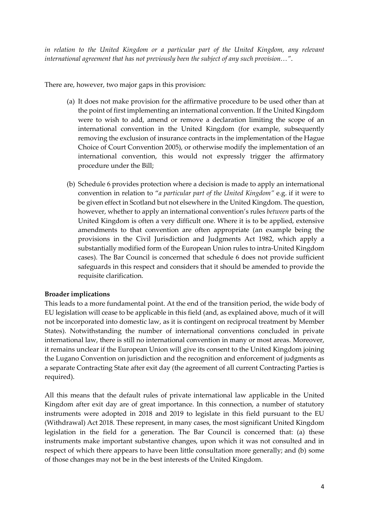*in relation to the United Kingdom or a particular part of the United Kingdom, any relevant international agreement that has not previously been the subject of any such provision…"*.

There are, however, two major gaps in this provision:

- (a) It does not make provision for the affirmative procedure to be used other than at the point of first implementing an international convention. If the United Kingdom were to wish to add, amend or remove a declaration limiting the scope of an international convention in the United Kingdom (for example, subsequently removing the exclusion of insurance contracts in the implementation of the Hague Choice of Court Convention 2005), or otherwise modify the implementation of an international convention, this would not expressly trigger the affirmatory procedure under the Bill;
- (b) Schedule 6 provides protection where a decision is made to apply an international convention in relation to "*a particular part of the United Kingdom"* e.g. if it were to be given effect in Scotland but not elsewhere in the United Kingdom. The question, however, whether to apply an international convention's rules *between* parts of the United Kingdom is often a very difficult one. Where it is to be applied, extensive amendments to that convention are often appropriate (an example being the provisions in the Civil Jurisdiction and Judgments Act 1982, which apply a substantially modified form of the European Union rules to intra-United Kingdom cases). The Bar Council is concerned that schedule 6 does not provide sufficient safeguards in this respect and considers that it should be amended to provide the requisite clarification.

# **Broader implications**

This leads to a more fundamental point. At the end of the transition period, the wide body of EU legislation will cease to be applicable in this field (and, as explained above, much of it will not be incorporated into domestic law, as it is contingent on reciprocal treatment by Member States). Notwithstanding the number of international conventions concluded in private international law, there is still no international convention in many or most areas. Moreover, it remains unclear if the European Union will give its consent to the United Kingdom joining the Lugano Convention on jurisdiction and the recognition and enforcement of judgments as a separate Contracting State after exit day (the agreement of all current Contracting Parties is required).

All this means that the default rules of private international law applicable in the United Kingdom after exit day are of great importance. In this connection, a number of statutory instruments were adopted in 2018 and 2019 to legislate in this field pursuant to the EU (Withdrawal) Act 2018. These represent, in many cases, the most significant United Kingdom legislation in the field for a generation. The Bar Council is concerned that: (a) these instruments make important substantive changes, upon which it was not consulted and in respect of which there appears to have been little consultation more generally; and (b) some of those changes may not be in the best interests of the United Kingdom.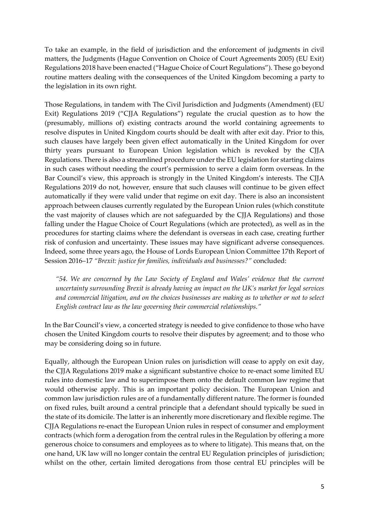To take an example, in the field of jurisdiction and the enforcement of judgments in civil matters, the Judgments (Hague Convention on Choice of Court Agreements 2005) (EU Exit) Regulations 2018 have been enacted ("Hague Choice of Court Regulations"). These go beyond routine matters dealing with the consequences of the United Kingdom becoming a party to the legislation in its own right.

Those Regulations, in tandem with The Civil Jurisdiction and Judgments (Amendment) (EU Exit) Regulations 2019 ("CJJA Regulations") regulate the crucial question as to how the (presumably, millions of) existing contracts around the world containing agreements to resolve disputes in United Kingdom courts should be dealt with after exit day. Prior to this, such clauses have largely been given effect automatically in the United Kingdom for over thirty years pursuant to European Union legislation which is revoked by the CJJA Regulations. There is also a streamlined procedure under the EU legislation for starting claims in such cases without needing the court's permission to serve a claim form overseas. In the Bar Council's view, this approach is strongly in the United Kingdom's interests. The CJJA Regulations 2019 do not, however, ensure that such clauses will continue to be given effect automatically if they were valid under that regime on exit day. There is also an inconsistent approach between clauses currently regulated by the European Union rules (which constitute the vast majority of clauses which are not safeguarded by the CJJA Regulations) and those falling under the Hague Choice of Court Regulations (which are protected), as well as in the procedures for starting claims where the defendant is overseas in each case, creating further risk of confusion and uncertainty. These issues may have significant adverse consequences. Indeed, some three years ago, the House of Lords European Union Committee 17th Report of Session 2016–17 *"Brexit: justice for families, individuals and businesses?"* concluded:

*"54. We are concerned by the Law Society of England and Wales' evidence that the current uncertainty surrounding Brexit is already having an impact on the UK's market for legal services and commercial litigation, and on the choices businesses are making as to whether or not to select English contract law as the law governing their commercial relationships."*

In the Bar Council's view, a concerted strategy is needed to give confidence to those who have chosen the United Kingdom courts to resolve their disputes by agreement; and to those who may be considering doing so in future.

Equally, although the European Union rules on jurisdiction will cease to apply on exit day, the CJJA Regulations 2019 make a significant substantive choice to re-enact some limited EU rules into domestic law and to superimpose them onto the default common law regime that would otherwise apply. This is an important policy decision. The European Union and common law jurisdiction rules are of a fundamentally different nature. The former is founded on fixed rules, built around a central principle that a defendant should typically be sued in the state of its domicile. The latter is an inherently more discretionary and flexible regime. The CJJA Regulations re-enact the European Union rules in respect of consumer and employment contracts (which form a derogation from the central rules in the Regulation by offering a more generous choice to consumers and employees as to where to litigate). This means that, on the one hand, UK law will no longer contain the central EU Regulation principles of jurisdiction; whilst on the other, certain limited derogations from those central EU principles will be